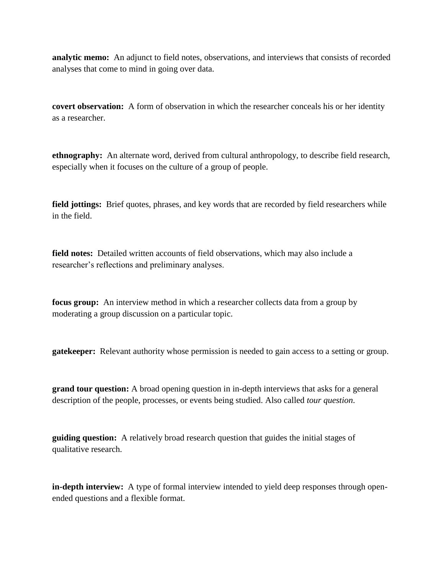**analytic memo:** An adjunct to field notes, observations, and interviews that consists of recorded analyses that come to mind in going over data.

**covert observation:** A form of observation in which the researcher conceals his or her identity as a researcher.

**ethnography:** An alternate word, derived from cultural anthropology, to describe field research, especially when it focuses on the culture of a group of people.

**field jottings:** Brief quotes, phrases, and key words that are recorded by field researchers while in the field.

**field notes:** Detailed written accounts of field observations, which may also include a researcher's reflections and preliminary analyses.

**focus group:** An interview method in which a researcher collects data from a group by moderating a group discussion on a particular topic.

**gatekeeper:** Relevant authority whose permission is needed to gain access to a setting or group.

**grand tour question:** A broad opening question in in-depth interviews that asks for a general description of the people, processes, or events being studied. Also called *tour question*.

**guiding question:** A relatively broad research question that guides the initial stages of qualitative research.

**in-depth interview:** A type of formal interview intended to yield deep responses through openended questions and a flexible format.